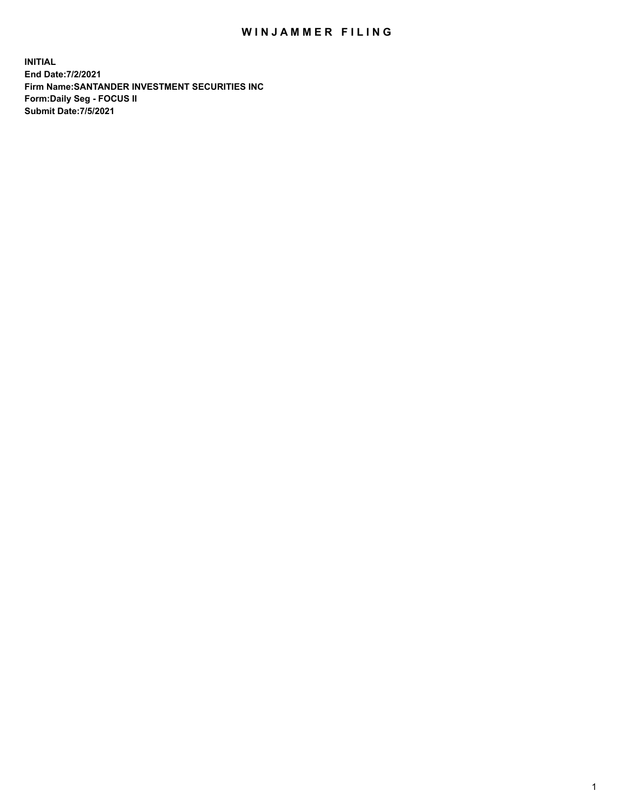## WIN JAMMER FILING

**INITIAL End Date:7/2/2021 Firm Name:SANTANDER INVESTMENT SECURITIES INC Form:Daily Seg - FOCUS II Submit Date:7/5/2021**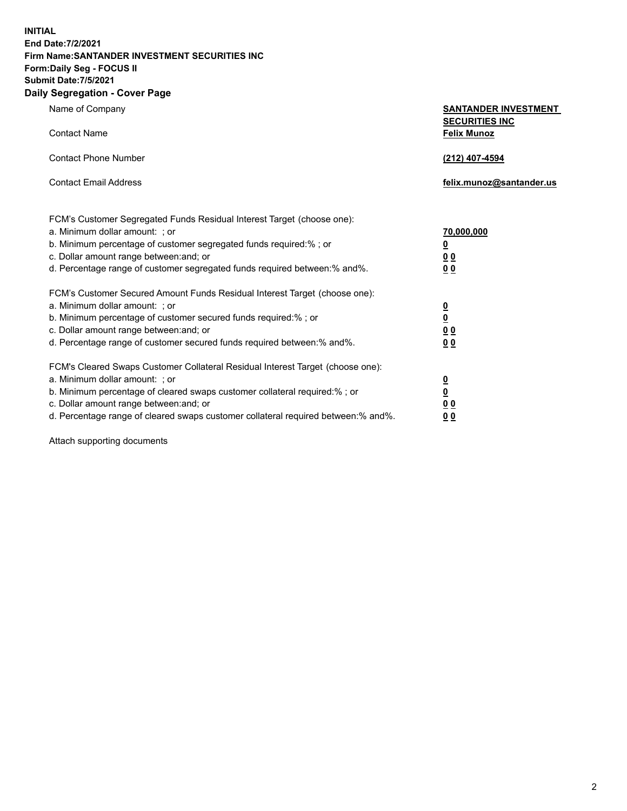**INITIAL End Date:7/2/2021 Firm Name:SANTANDER INVESTMENT SECURITIES INC Form:Daily Seg - FOCUS II Submit Date:7/5/2021 Daily Segregation - Cover Page**

| Name of Company<br><b>Contact Name</b>                                                                                                                                                                                                                                                                                        | <b>SANTANDER INVESTMENT</b><br><b>SECURITIES INC</b><br><b>Felix Munoz</b> |
|-------------------------------------------------------------------------------------------------------------------------------------------------------------------------------------------------------------------------------------------------------------------------------------------------------------------------------|----------------------------------------------------------------------------|
| <b>Contact Phone Number</b>                                                                                                                                                                                                                                                                                                   | (212) 407-4594                                                             |
| <b>Contact Email Address</b>                                                                                                                                                                                                                                                                                                  | felix.munoz@santander.us                                                   |
| FCM's Customer Segregated Funds Residual Interest Target (choose one):<br>a. Minimum dollar amount: ; or<br>b. Minimum percentage of customer segregated funds required:% ; or<br>c. Dollar amount range between: and; or<br>d. Percentage range of customer segregated funds required between:% and%.                        | 70,000,000<br><u>0</u><br>0 <sub>0</sub><br>0 <sub>0</sub>                 |
| FCM's Customer Secured Amount Funds Residual Interest Target (choose one):<br>a. Minimum dollar amount: ; or<br>b. Minimum percentage of customer secured funds required:%; or<br>c. Dollar amount range between: and; or<br>d. Percentage range of customer secured funds required between:% and%.                           | $\overline{\mathbf{0}}$<br><u>0</u><br>0 <sub>0</sub><br>0 <sub>0</sub>    |
| FCM's Cleared Swaps Customer Collateral Residual Interest Target (choose one):<br>a. Minimum dollar amount: ; or<br>b. Minimum percentage of cleared swaps customer collateral required:%; or<br>c. Dollar amount range between: and; or<br>d. Percentage range of cleared swaps customer collateral required between:% and%. | <u>0</u><br><u>0</u><br>0 <sub>0</sub><br>0 <sub>0</sub>                   |

Attach supporting documents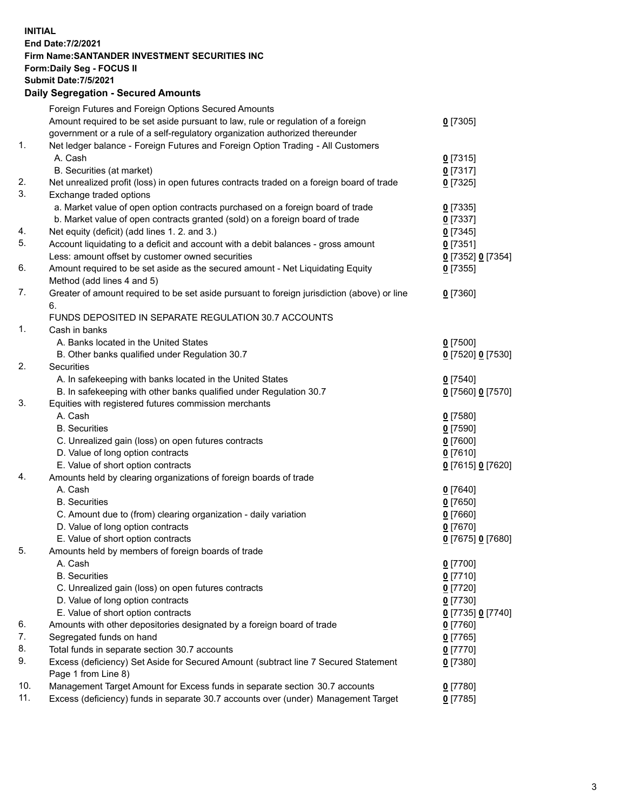## **INITIAL End Date:7/2/2021 Firm Name:SANTANDER INVESTMENT SECURITIES INC Form:Daily Seg - FOCUS II Submit Date:7/5/2021 Daily Segregation - Secured Amounts** Foreign Futures and Foreign Options Secured Amounts Amount required to be set aside pursuant to law, rule or regulation of a foreign government or a rule of a self-regulatory organization authorized thereunder 1. Net ledger balance - Foreign Futures and Foreign Option Trading - All Customers A. Cash **0** [7315] B. Securities (at market) **0** [7317] 2. Net unrealized profit (loss) in open futures contracts traded on a foreign board of trade **0** [7325]

| 3.  | Exchange traded options                                                                     |                   |
|-----|---------------------------------------------------------------------------------------------|-------------------|
|     | a. Market value of open option contracts purchased on a foreign board of trade              | $0$ [7335]        |
|     | b. Market value of open contracts granted (sold) on a foreign board of trade                | $0$ [7337]        |
| 4.  | Net equity (deficit) (add lines 1. 2. and 3.)                                               | $0$ [7345]        |
| 5.  | Account liquidating to a deficit and account with a debit balances - gross amount           | $0$ [7351]        |
|     | Less: amount offset by customer owned securities                                            | 0 [7352] 0 [7354] |
| 6.  | Amount required to be set aside as the secured amount - Net Liquidating Equity              | $0$ [7355]        |
|     | Method (add lines 4 and 5)                                                                  |                   |
| 7.  | Greater of amount required to be set aside pursuant to foreign jurisdiction (above) or line | $0$ [7360]        |
|     | 6.                                                                                          |                   |
|     | FUNDS DEPOSITED IN SEPARATE REGULATION 30.7 ACCOUNTS                                        |                   |
| 1.  | Cash in banks                                                                               |                   |
|     | A. Banks located in the United States                                                       | $0$ [7500]        |
|     | B. Other banks qualified under Regulation 30.7                                              | 0 [7520] 0 [7530] |
| 2.  | Securities                                                                                  |                   |
|     | A. In safekeeping with banks located in the United States                                   | $0$ [7540]        |
|     | B. In safekeeping with other banks qualified under Regulation 30.7                          | 0 [7560] 0 [7570] |
| 3.  | Equities with registered futures commission merchants                                       |                   |
|     | A. Cash                                                                                     | $0$ [7580]        |
|     | <b>B.</b> Securities                                                                        | $0$ [7590]        |
|     | C. Unrealized gain (loss) on open futures contracts                                         | $0$ [7600]        |
|     | D. Value of long option contracts                                                           | $0$ [7610]        |
|     | E. Value of short option contracts                                                          | 0 [7615] 0 [7620] |
| 4.  | Amounts held by clearing organizations of foreign boards of trade                           |                   |
|     | A. Cash                                                                                     | $0$ [7640]        |
|     | <b>B.</b> Securities                                                                        | $0$ [7650]        |
|     | C. Amount due to (from) clearing organization - daily variation                             | $0$ [7660]        |
|     | D. Value of long option contracts                                                           | $0$ [7670]        |
|     | E. Value of short option contracts                                                          | 0 [7675] 0 [7680] |
| 5.  | Amounts held by members of foreign boards of trade                                          |                   |
|     | A. Cash                                                                                     | $0$ [7700]        |
|     | <b>B.</b> Securities                                                                        | $0$ [7710]        |
|     | C. Unrealized gain (loss) on open futures contracts                                         | $0$ [7720]        |
|     | D. Value of long option contracts                                                           | $0$ [7730]        |
|     | E. Value of short option contracts                                                          | 0 [7735] 0 [7740] |
| 6.  | Amounts with other depositories designated by a foreign board of trade                      | $0$ [7760]        |
| 7.  | Segregated funds on hand                                                                    | $0$ [7765]        |
| 8.  | Total funds in separate section 30.7 accounts                                               | $0$ [7770]        |
| 9.  | Excess (deficiency) Set Aside for Secured Amount (subtract line 7 Secured Statement         | $0$ [7380]        |
|     | Page 1 from Line 8)                                                                         |                   |
| 10. | Management Target Amount for Excess funds in separate section 30.7 accounts                 | $0$ [7780]        |

**0** [7305]

11. Excess (deficiency) funds in separate 30.7 accounts over (under) Management Target **0** [7785]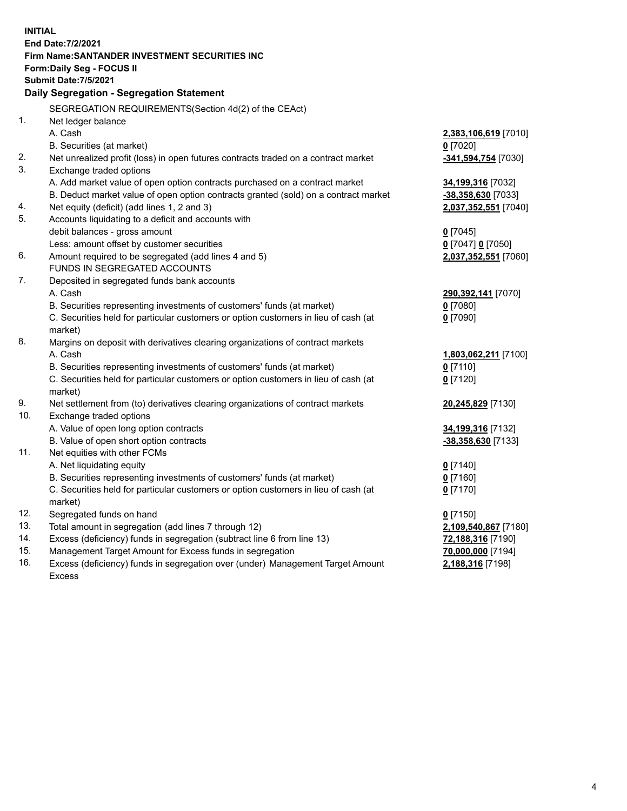| <b>INITIAL</b> |                                                                                           |                                    |  |  |  |  |
|----------------|-------------------------------------------------------------------------------------------|------------------------------------|--|--|--|--|
|                | <b>End Date:7/2/2021</b>                                                                  |                                    |  |  |  |  |
|                | Firm Name: SANTANDER INVESTMENT SECURITIES INC                                            |                                    |  |  |  |  |
|                | Form: Daily Seg - FOCUS II                                                                |                                    |  |  |  |  |
|                | <b>Submit Date: 7/5/2021</b>                                                              |                                    |  |  |  |  |
|                | Daily Segregation - Segregation Statement                                                 |                                    |  |  |  |  |
|                | SEGREGATION REQUIREMENTS(Section 4d(2) of the CEAct)                                      |                                    |  |  |  |  |
| 1.             | Net ledger balance                                                                        |                                    |  |  |  |  |
|                | A. Cash                                                                                   | 2,383,106,619 [7010]               |  |  |  |  |
|                | B. Securities (at market)                                                                 | $0$ [7020]                         |  |  |  |  |
| 2.             | Net unrealized profit (loss) in open futures contracts traded on a contract market        | -341,594,754 [7030]                |  |  |  |  |
| 3.             | Exchange traded options                                                                   |                                    |  |  |  |  |
|                | A. Add market value of open option contracts purchased on a contract market               | 34,199,316 [7032]                  |  |  |  |  |
|                | B. Deduct market value of open option contracts granted (sold) on a contract market       | -38,358,630 [7033]                 |  |  |  |  |
| 4.             | Net equity (deficit) (add lines 1, 2 and 3)                                               | 2,037,352,551 [7040]               |  |  |  |  |
| 5.             | Accounts liquidating to a deficit and accounts with                                       |                                    |  |  |  |  |
|                | debit balances - gross amount                                                             | $0$ [7045]                         |  |  |  |  |
|                | Less: amount offset by customer securities                                                | 0 [7047] 0 [7050]                  |  |  |  |  |
| 6.             | Amount required to be segregated (add lines 4 and 5)                                      | 2,037,352,551 [7060]               |  |  |  |  |
|                | FUNDS IN SEGREGATED ACCOUNTS                                                              |                                    |  |  |  |  |
| 7.             | Deposited in segregated funds bank accounts                                               |                                    |  |  |  |  |
|                | A. Cash                                                                                   | 290,392,141 [7070]                 |  |  |  |  |
|                | B. Securities representing investments of customers' funds (at market)                    | $0$ [7080]                         |  |  |  |  |
|                | C. Securities held for particular customers or option customers in lieu of cash (at       | $0$ [7090]                         |  |  |  |  |
| 8.             | market)                                                                                   |                                    |  |  |  |  |
|                | Margins on deposit with derivatives clearing organizations of contract markets<br>A. Cash |                                    |  |  |  |  |
|                | B. Securities representing investments of customers' funds (at market)                    | 1,803,062,211 [7100]<br>$0$ [7110] |  |  |  |  |
|                | C. Securities held for particular customers or option customers in lieu of cash (at       | $0$ [7120]                         |  |  |  |  |
|                | market)                                                                                   |                                    |  |  |  |  |
| 9.             | Net settlement from (to) derivatives clearing organizations of contract markets           | 20,245,829 [7130]                  |  |  |  |  |
| 10.            | Exchange traded options                                                                   |                                    |  |  |  |  |
|                | A. Value of open long option contracts                                                    | 34,199,316 [7132]                  |  |  |  |  |
|                | B. Value of open short option contracts                                                   | -38,358,630 [7133]                 |  |  |  |  |
| 11.            | Net equities with other FCMs                                                              |                                    |  |  |  |  |
|                | A. Net liquidating equity                                                                 | $0$ [7140]                         |  |  |  |  |
|                | B. Securities representing investments of customers' funds (at market)                    | $0$ [7160]                         |  |  |  |  |
|                | C. Securities held for particular customers or option customers in lieu of cash (at       | $0$ [7170]                         |  |  |  |  |
|                | market)                                                                                   |                                    |  |  |  |  |
| 12.            | Segregated funds on hand                                                                  | $0$ [7150]                         |  |  |  |  |
| 13.            | Total amount in segregation (add lines 7 through 12)                                      | 2,109,540,867 [7180]               |  |  |  |  |
| 14.            | Excess (deficiency) funds in segregation (subtract line 6 from line 13)                   | 72,188,316 [7190]                  |  |  |  |  |
| 15.            | Management Target Amount for Excess funds in segregation                                  | 70,000,000 [7194]                  |  |  |  |  |
| 16.            | Excess (deficiency) funds in segregation over (under) Management Target Amount            | 2,188,316 [7198]                   |  |  |  |  |
|                | <b>Excess</b>                                                                             |                                    |  |  |  |  |